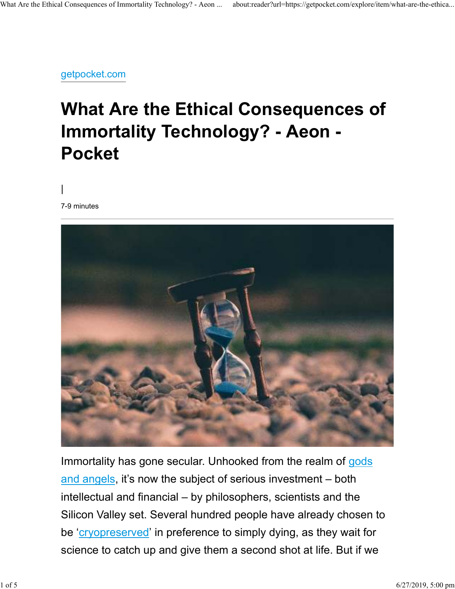getpocket.com

## **What Are the Ethical Consequences of Immortality Technology? - Aeon - Pocket**

*|*

7-9 minutes



Immortality has gone secular. Unhooked from the realm of gods and angels, it's now the subject of serious investment  $-$  both intellectual and financial – by philosophers, scientists and the Silicon Valley set. Several hundred people have already chosen to be '*cryopreserved*' in preference to simply dying, as they wait for science to catch up and give them a second shot at life. But if we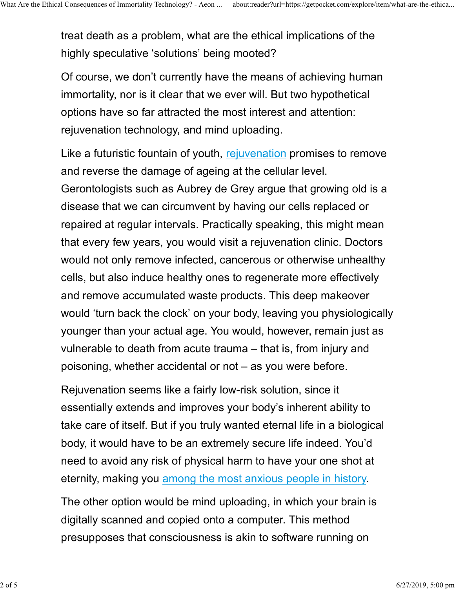treat death as a problem, what are the ethical implications of the highly speculative 'solutions' being mooted?

Of course, we don't currently have the means of achieving human immortality, nor is it clear that we ever will. But two hypothetical options have so far attracted the most interest and attention: rejuvenation technology, and mind uploading.

Like a futuristic fountain of youth, rejuvenation promises to remove and reverse the damage of ageing at the cellular level. Gerontologists such as Aubrey de Grey argue that growing old is a disease that we can circumvent by having our cells replaced or repaired at regular intervals. Practically speaking, this might mean that every few years, you would visit a rejuvenation clinic. Doctors would not only remove infected, cancerous or otherwise unhealthy cells, but also induce healthy ones to regenerate more effectively and remove accumulated waste products. This deep makeover would 'turn back the clock' on your body, leaving you physiologically younger than your actual age. You would, however, remain just as vulnerable to death from acute trauma – that is, from injury and poisoning, whether accidental or not – as you were before.

Rejuvenation seems like a fairly low-risk solution, since it essentially extends and improves your body's inherent ability to take care of itself. But if you truly wanted eternal life in a biological body, it would have to be an extremely secure life indeed. You'd need to avoid any risk of physical harm to have your one shot at eternity, making you among the most anxious people in history.

The other option would be mind uploading, in which your brain is digitally scanned and copied onto a computer. This method presupposes that consciousness is akin to software running on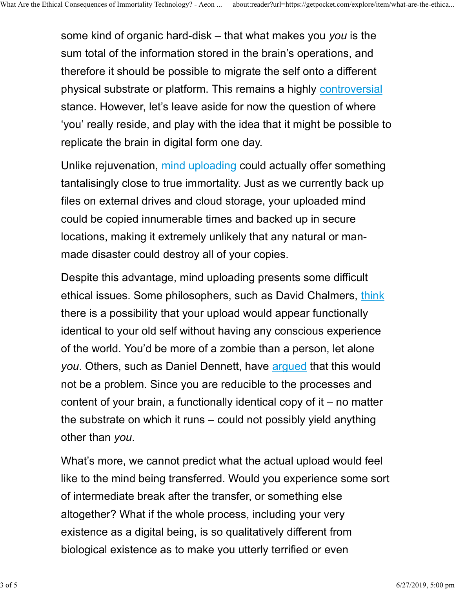some kind of organic hard-disk – that what makes you *you* is the sum total of the information stored in the brain's operations, and therefore it should be possible to migrate the self onto a different physical substrate or platform. This remains a highly controversial stance. However, let's leave aside for now the question of where 'you' really reside, and play with the idea that it might be possible to replicate the brain in digital form one day.

Unlike rejuvenation, mind uploading could actually offer something tantalisingly close to true immortality. Just as we currently back up files on external drives and cloud storage, your uploaded mind could be copied innumerable times and backed up in secure locations, making it extremely unlikely that any natural or manmade disaster could destroy all of your copies.

Despite this advantage, mind uploading presents some difficult ethical issues. Some philosophers, such as David Chalmers, think there is a possibility that your upload would appear functionally identical to your old self without having any conscious experience of the world. You'd be more of a zombie than a person, let alone *you*. Others, such as Daniel Dennett, have argued that this would not be a problem. Since you are reducible to the processes and content of your brain, a functionally identical copy of it – no matter the substrate on which it runs – could not possibly yield anything other than *you*.

What's more, we cannot predict what the actual upload would feel like to the mind being transferred. Would you experience some sort of intermediate break after the transfer, or something else altogether? What if the whole process, including your very existence as a digital being, is so qualitatively different from biological existence as to make you utterly terrified or even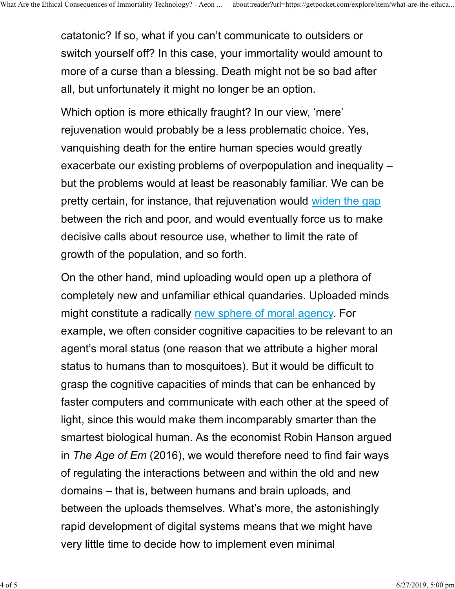catatonic? If so, what if you can't communicate to outsiders or switch yourself off? In this case, your immortality would amount to more of a curse than a blessing. Death might not be so bad after all, but unfortunately it might no longer be an option.

Which option is more ethically fraught? In our view, 'mere' rejuvenation would probably be a less problematic choice. Yes, vanquishing death for the entire human species would greatly exacerbate our existing problems of overpopulation and inequality – but the problems would at least be reasonably familiar. We can be pretty certain, for instance, that rejuvenation would widen the gap between the rich and poor, and would eventually force us to make decisive calls about resource use, whether to limit the rate of growth of the population, and so forth.

On the other hand, mind uploading would open up a plethora of completely new and unfamiliar ethical quandaries. Uploaded minds might constitute a radically new sphere of moral agency. For example, we often consider cognitive capacities to be relevant to an agent's moral status (one reason that we attribute a higher moral status to humans than to mosquitoes). But it would be difficult to grasp the cognitive capacities of minds that can be enhanced by faster computers and communicate with each other at the speed of light, since this would make them incomparably smarter than the smartest biological human. As the economist Robin Hanson argued in *The Age of Em* (2016), we would therefore need to find fair ways of regulating the interactions between and within the old and new domains – that is, between humans and brain uploads, and between the uploads themselves. What's more, the astonishingly rapid development of digital systems means that we might have very little time to decide how to implement even minimal